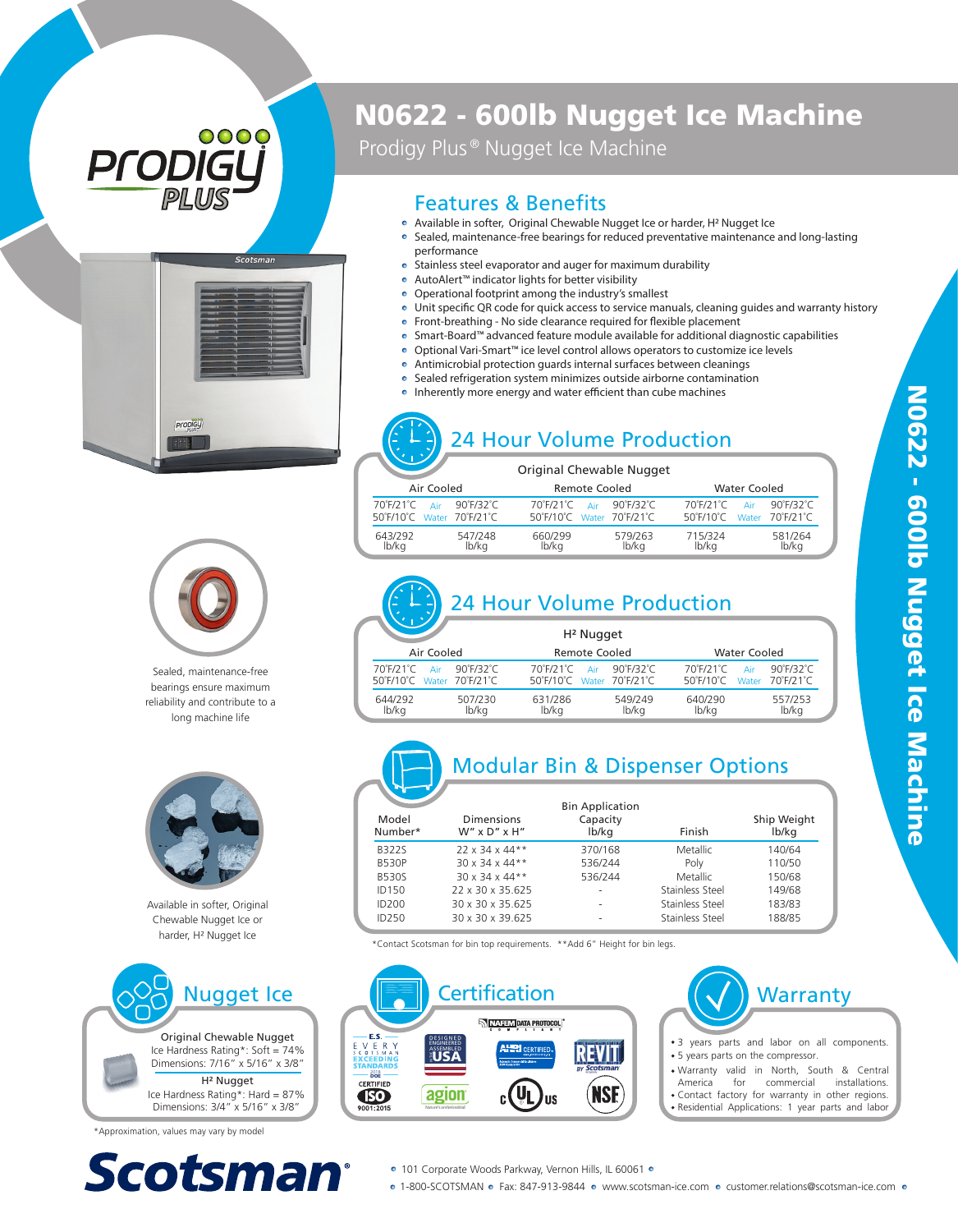# 0000 ProDIG



## N0622 - 600lb Nugget Ice Machine

Prodigy Plus<sup>®</sup> Nugget Ice Machine

#### Features & Benefits

- Available in softer, Original Chewable Nugget Ice or harder, H 2 Nugget Ice Sealed, maintenance-free bearings for reduced preventative maintenance and long-lasting
- performance
- Stainless steel evaporator and auger for maximum durability
- AutoAlert™ indicator lights for better visibility
- Operational footprint among the industry's smallest
- . Unit specific QR code for quick access to service manuals, cleaning guides and warranty history
- $\bullet$  Front-breathing No side clearance required for flexible placement
- Smart-Board™ advanced feature module available for additional diagnostic capabilities
- Optional Vari-Smart™ ice level control allows operators to customize ice levels  $\bullet$
- ō Antimicrobial protection guards internal surfaces between cleanings
- Sealed refrigeration system minimizes outside airborne contamination ō
- Inherently more energy and water efficient than cube machines

### 24 Hour Volume Production

|                           | Original Chewable Nugget  |                            |
|---------------------------|---------------------------|----------------------------|
| Air Cooled                | Remote Cooled             | <b>Water Cooled</b>        |
| 90°F/32°C                 | 90°F/32°C                 | $90^\circ$ F/32 $^\circ$ C |
| 70°F/21°C                 | $70°$ F/21°C              | 70°F/21°C                  |
| Air                       | Air                       | Air                        |
| 50°F/10°C Water 70°F/21°C | 50°F/10°C Water 70°F/21°C | 50°F/10°C Water 70°F/21°C  |
| 643/292                   | 579/263                   | 715/324                    |
| 547/248                   | 660/299                   | 581/264                    |
| lb/ka                     | lb/kg                     | lb/ka                      |
| lb/kg                     | lb/ka                     | lb/ka                      |



Sealed, maintenance-free bearings ensure maximum reliability and contribute to a long machine life



Available in softer, Original Chewable Nugget Ice or harder, H<sup>2</sup> Nugget Ice



\*Approximation, values may vary by model



## 24 Hour Volume Production

|                           | H <sup>2</sup> Nugget     |                            |
|---------------------------|---------------------------|----------------------------|
| Air Cooled                | <b>Remote Cooled</b>      | <b>Water Cooled</b>        |
| 70°F/21°C                 | 70°F/21°C                 | 70°F/21°C                  |
| 90°F/32°C                 | 90°F/32°C                 | $90^\circ$ F/32 $^\circ$ C |
| Air                       | Air                       | Air                        |
| 50°F/10°C Water 70°F/21°C | 50°F/10°C Water 70°F/21°C | 50°F/10°C Water 70°F/21°C  |
| 644/292                   | 631/286                   | 557/253                    |
| 507/230                   | 549/249                   | 640/290                    |
| lb/kg                     | lb/kg                     | lb/kg                      |
| lb/kg                     | lb/kg                     | lb/kg                      |



### Modular Bin & Dispenser Options

|                  |                                     | <b>Bin Application</b> |                 |                      |
|------------------|-------------------------------------|------------------------|-----------------|----------------------|
| Model<br>Number* | Dimensions<br>$W''$ x $D''$ x $H''$ | Capacity<br>lb/kg      | Finish          | Ship Weight<br>lb/kg |
| <b>B3225</b>     | $22 \times 34 \times 44**$          | 370/168                | Metallic        | 140/64               |
| <b>B530P</b>     | 30 x 34 x 44**                      | 536/244                | Poly            | 110/50               |
| <b>B530S</b>     | $30 \times 34 \times 44**$          | 536/244                | Metallic        | 150/68               |
| ID150            | 22 x 30 x 35.625                    | ۰                      | Stainless Steel | 149/68               |
| ID200            | 30 x 30 x 35.625                    | ۰                      | Stainless Steel | 183/83               |
| ID250            | 30 x 30 x 39 625                    | ۰                      | Stainless Steel | 188/85               |

\*Contact Scotsman for bin top requirements. \*\*Add 6" Height for bin legs.



o 1-800-SCOTSMAN o Fax: 847-913-9844 o www.scotsman-ice.com o customer.relations@scotsman-ice.com o